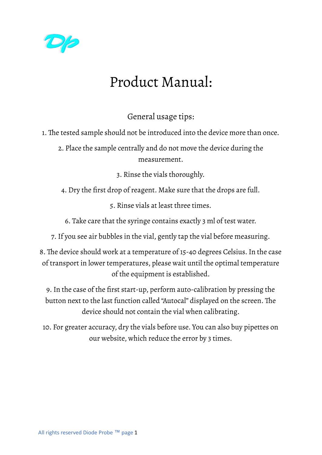

# Product Manual:

General usage tips:

1. The tested sample should not be introduced into the device more than once.

2. Place the sample centrally and do not move the device during the measurement.

3. Rinse the vials thoroughly.

4. Dry the first drop of reagent. Make sure that the drops are full.

5. Rinse vials at least three times.

6. Take care that the syringe contains exactly 3 ml of test water.

7.If you see air bubbles in the vial, gently tap the vial before measuring.

8. The device should work at a temperature of 15-40 degrees Celsius.In the case of transport in lower temperatures, please wait until the optimal temperature of the equipment is established.

9.In the case of the first start-up, perform auto-calibration by pressing the button next to the last function called "Autocal" displayed on the screen. The device should not contain the vial when calibrating.

10. For greater accuracy, dry the vials before use. You can also buy pipettes on our website, which reduce the error by 3 times.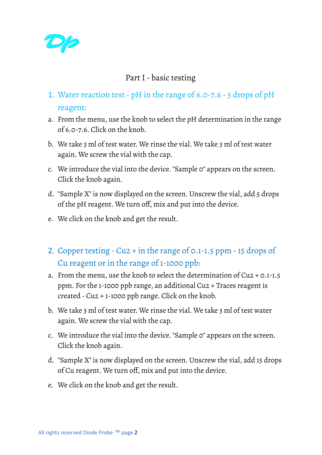

# Part I- basic testing

- 1. Water reaction test- pH in the range of 6.0-7.6 5 drops of pH reagent:
- a. From the menu, use the knob to select the pH determination in the range of 6.0-7.6. Click on the knob.
- b. We take 3 ml of test water. We rinse the vial. We take 3 ml of test water again. We screw the vial with the cap.
- c. We introduce the vial into the device. "Sample 0" appears on the screen. Click the knob again.
- d. "Sample X" is now displayed on the screen. Unscrew the vial, add 5 drops of the pH reagent. We turn off, mix and put into the device.
- e. We click on the knob and get the result.
- 2. Copper testing Cu2 + in the range of 0.1-1.5 ppm -15 drops of Cu reagent or in the range of 1-1000 ppb:
- a. From the menu, use the knob to select the determination of Cu2 + 0.1-1.5 ppm. For the 1-1000 ppb range, an additional Cu2 + Traces reagent is created - Cu2 + 1-1000 ppb range. Click on the knob.
- b. We take 3 ml of test water. We rinse the vial. We take 3 ml of test water again. We screw the vial with the cap.
- c. We introduce the vial into the device. "Sample 0" appears on the screen. Click the knob again.
- d. "Sample X" is now displayed on the screen. Unscrew the vial, add 15 drops of Cu reagent. We turn off, mix and put into the device.
- e. We click on the knob and get the result.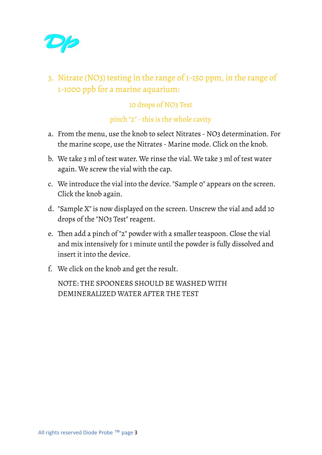

3. Nitrate (NO3) testing in the range of 1-150 ppm, in the range of 1-1000 ppb for a marine aquarium:

#### 10 drops of NO3 Test

#### pinch "2" - this is the whole cavity

- a. From the menu, use the knob to select Nitrates NO3 determination. For the marine scope, use the Nitrates - Marine mode. Click on the knob.
- b. We take 3 ml of test water. We rinse the vial. We take 3 ml of test water again. We screw the vial with the cap.
- c. We introduce the vial into the device. "Sample 0" appears on the screen. Click the knob again.
- d. "Sample X" is now displayed on the screen. Unscrew the vial and add 10 drops of the "NO3 Test" reagent.
- e. Then add a pinch of "2" powder with a smaller teaspoon. Close the vial and mix intensively for 1 minute until the powder is fully dissolved and insert it into the device.
- f. We click on the knob and get the result.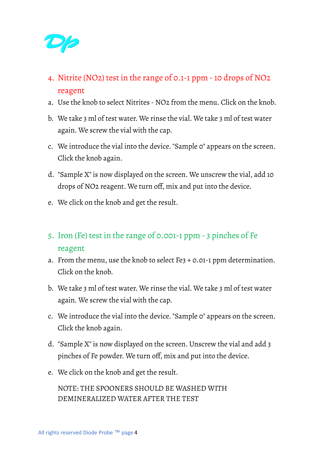

- 4. Nitrite (NO2) test in the range of 0.1-1 ppm -10 drops of NO2 reagent
- a. Use the knob to select Nitrites NO2 from the menu. Click on the knob.
- b. We take 3 ml of test water. We rinse the vial. We take 3 ml of test water again. We screw the vial with the cap.
- c. We introduce the vial into the device. "Sample 0" appears on the screen. Click the knob again.
- d. "Sample X" is now displayed on the screen. We unscrew the vial, add 10 drops of NO2 reagent. We turn off, mix and put into the device.
- e. We click on the knob and get the result.
- 5. Iron (Fe) test in the range of 0.001-1 ppm 3 pinches of Fe reagent
- a. From the menu, use the knob to select Fe3 + 0.01-1 ppm determination. Click on the knob.
- b. We take 3 ml of test water. We rinse the vial. We take 3 ml of test water again. We screw the vial with the cap.
- c. We introduce the vial into the device. "Sample 0" appears on the screen. Click the knob again.
- d. "Sample X" is now displayed on the screen. Unscrew the vial and add 3 pinches of Fe powder. We turn off, mix and put into the device.
- e. We click on the knob and get the result.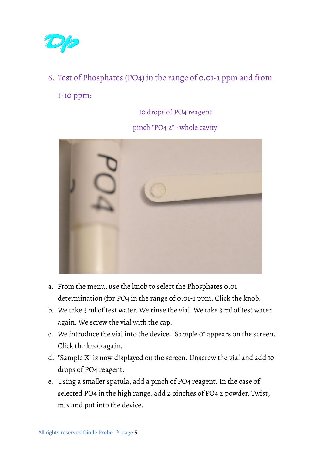

# 6. Test of Phosphates (PO4) in the range of 0.01-1 ppm and from

1-10 ppm:

10 drops of PO4 reagent

pinch "PO4 2"- whole cavity



- a. From the menu, use the knob to select the Phosphates 0.01 determination (for PO4 in the range of 0.01-1 ppm. Click the knob.
- b. We take 3 ml of test water. We rinse the vial. We take 3 ml of test water again. We screw the vial with the cap.
- c. We introduce the vial into the device. "Sample 0" appears on the screen. Click the knob again.
- d. "Sample X" is now displayed on the screen. Unscrew the vial and add 10 drops of PO4 reagent.
- e. Using a smaller spatula, add a pinch of PO4 reagent.In the case of selected PO4 in the high range, add 2 pinches of PO4 2 powder. Twist, mix and put into the device.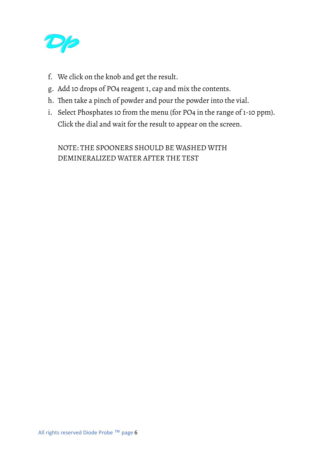

- f. We click on the knob and get the result.
- g. Add 10 drops of PO4 reagent 1, cap and mix the contents.
- h. Then take a pinch of powder and pour the powder into the vial.
- i. Select Phosphates 10 from the menu (for PO4 in the range of 1-10 ppm). Click the dial and wait for the result to appear on the screen.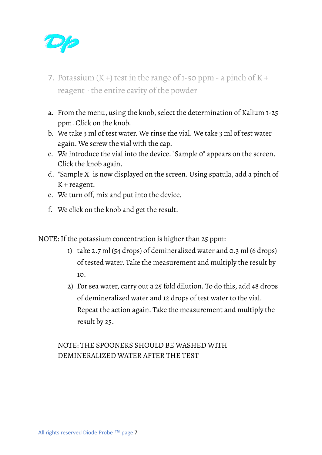

- 7. Potassium  $(K +)$  test in the range of 1-50 ppm a pinch of  $K +$ reagent - the entire cavity of the powder
- a. From the menu, using the knob, select the determination of Kalium 1-25 ppm. Click on the knob.
- b. We take 3 ml of test water. We rinse the vial. We take 3 ml of test water again. We screw the vial with the cap.
- c. We introduce the vial into the device. "Sample 0" appears on the screen. Click the knob again.
- d. "Sample X" is now displayed on the screen. Using spatula, add a pinch of  $K +$  reagent.
- e. We turn off, mix and put into the device.
- f. We click on the knob and get the result.

NOTE: If the potassium concentration is higher than 25 ppm:

- 1) take 2.7 ml (54 drops) of demineralized water and 0.3 ml (6 drops) of tested water. Take the measurement and multiply the result by 10.
- 2) For sea water, carry out a 25 fold dilution. To do this, add 48 drops of demineralized water and 12 drops of test water to the vial. Repeat the action again. Take the measurement and multiply the result by 25.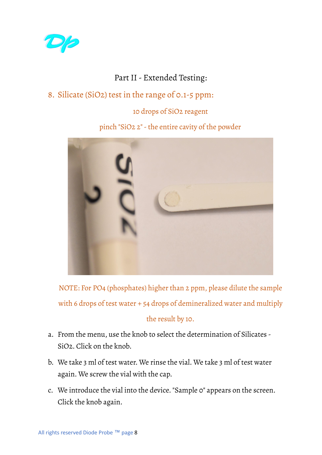

### Part II- Extended Testing:

# 8. Silicate (SiO2) test in the range of 0.1-5 ppm:

#### 10 drops of SiO2 reagent

#### pinch "SiO2 2"-the entire cavity of the powder



NOTE: For PO4 (phosphates) higher than 2 ppm, please dilute the sample with 6 drops of test water + 54 drops of demineralized water and multiply

#### the result by 10.

- a. From the menu, use the knob to select the determination of Silicates SiO2. Click on the knob.
- b. We take 3 ml of test water. We rinse the vial. We take 3 ml of test water again. We screw the vial with the cap.
- c. We introduce the vial into the device. "Sample 0" appears on the screen. Click the knob again.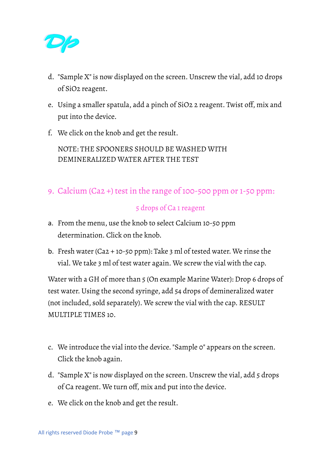

- d. "Sample X" is now displayed on the screen. Unscrew the vial, add 10 drops of SiO2 reagent.
- e. Using a smaller spatula, add a pinch of SiO2 2 reagent. Twist off, mix and put into the device.
- f. We click on the knob and get the result.

NOTE: THE SPOONERS SHOULD BE WASHED WITH DEMINERALIZED WATER AFTER THE TEST

9. Calcium (Ca2 +) test in the range of 100-500 ppm or 1-50 ppm:

#### 5 drops of Ca 1 reagent

- a. From the menu, use the knob to select Calcium 10-50 ppm determination. Click on the knob.
- b. Fresh water (Ca2 + 10-50 ppm): Take 3 ml of tested water. We rinse the vial. We take 3 ml of test water again. We screw the vial with the cap.

Water with a GH of more than 5 (On example Marine Water): Drop 6 drops of test water. Using the second syringe, add 54 drops of demineralized water (not included, sold separately). We screw the vial with the cap. RESULT MULTIPLE TIMES 10.

- c. We introduce the vial into the device. "Sample 0" appears on the screen. Click the knob again.
- d. "Sample X" is now displayed on the screen. Unscrew the vial, add 5 drops of Ca reagent. We turn off, mix and put into the device.
- e. We click on the knob and get the result.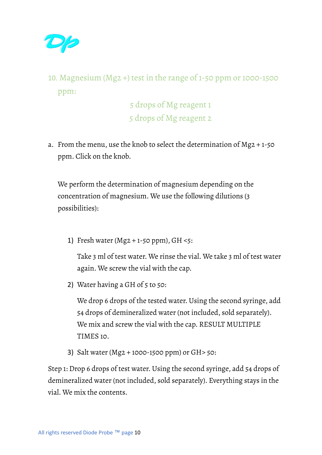

# 10. Magnesium (Mg2 +) test in the range of 1-50 ppm or 1000-1500 ppm:

5 drops of Mg reagent 1 5 drops of Mg reagent 2

a. From the menu, use the knob to select the determination of Mg2 + 1-50 ppm. Click on the knob.

We perform the determination of magnesium depending on the concentration of magnesium. We use the following dilutions (3 possibilities):

1) Fresh water (Mg2 + 1-50 ppm),  $GH < 5$ :

Take 3 ml of test water. We rinse the vial. We take 3 ml of test water again. We screw the vial with the cap.

2) Water having a GH of 5 to 50:

We drop 6 drops of the tested water. Using the second syringe, add 54 drops of demineralized water (not included, sold separately). We mix and screw the vial with the cap. RESULT MULTIPLE TIMES 10.

3) Salt water (Mg2 + 1000-1500 ppm) or GH> 50:

Step 1: Drop 6 drops of test water. Using the second syringe, add 54 drops of demineralized water (not included, sold separately). Everything stays in the vial. We mix the contents.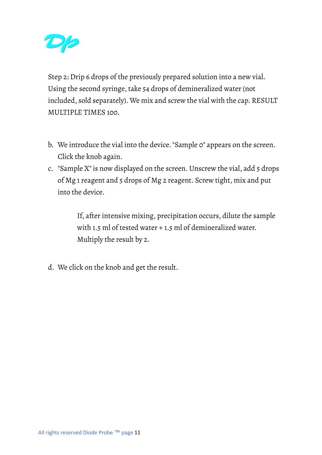

Step 2: Drip 6 drops of the previously prepared solution into a new vial. Using the second syringe, take 54 drops of demineralized water (not included, sold separately). We mix and screw the vial with the cap. RESULT MULTIPLE TIMES 100.

- b. We introduce the vial into the device. "Sample 0" appears on the screen. Click the knob again.
- c. "Sample X" is now displayed on the screen. Unscrew the vial, add 5 drops of Mg 1 reagent and 5 drops of Mg 2 reagent. Screw tight, mix and put into the device.

If, after intensive mixing, precipitation occurs, dilute the sample with 1.5 ml of tested water + 1.5 ml of demineralized water. Multiply the result by 2.

d. We click on the knob and get the result.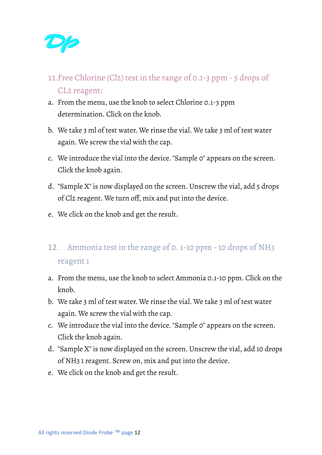

- 11.Free Chlorine (Cl2) test in the range of 0.1-3 ppm 5 drops of CL2 reagent:
- a. From the menu, use the knob to select Chlorine 0.1-3 ppm determination. Click on the knob.
- b. We take 3 ml of test water. We rinse the vial. We take 3 ml of test water again. We screw the vial with the cap.
- c. We introduce the vial into the device. "Sample 0" appears on the screen. Click the knob again.
- d. "Sample X" is now displayed on the screen. Unscrew the vial, add 5 drops of Cl2 reagent. We turn off, mix and put into the device.
- e. We click on the knob and get the result.
- 12. Ammonia test in the range of 0. 1-10 ppm -10 drops of NH3 reagent 1
- a. From the menu, use the knob to select Ammonia 0.1-10 ppm. Click on the knob.
- b. We take 3 ml of test water. We rinse the vial. We take 3 ml of test water again. We screw the vial with the cap.
- c. We introduce the vial into the device. "Sample 0" appears on the screen. Click the knob again.
- d. "Sample X" is now displayed on the screen. Unscrew the vial, add 10 drops of NH3 1 reagent. Screw on, mix and put into the device.
- e. We click on the knob and get the result.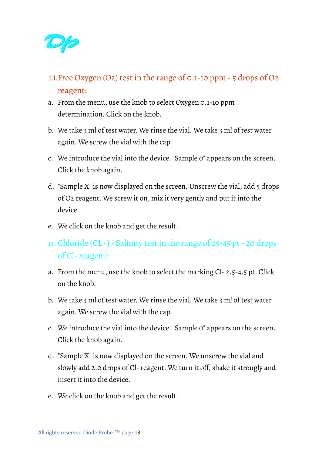

- 13.Free Oxygen (O2) test in the range of 0.1-10 ppm 5 drops of O2 reagent:
- a. From the menu, use the knob to select Oxygen 0.1-10 ppm determination. Click on the knob.
- b. We take 3 ml of test water. We rinse the vial. We take 3 ml of test water again. We screw the vial with the cap.
- c. We introduce the vial into the device. "Sample 0" appears on the screen. Click the knob again.
- d. "Sample X" is now displayed on the screen. Unscrew the vial, add 5 drops of O2 reagent. We screw it on, mix it very gently and put it into the device.
- e. We click on the knob and get the result.
- 14. Chloride (CL -) / Salinity test in the range of 25-45 pt- 20 drops of Cl-reagent:
- a. From the menu, use the knob to select the marking Cl- 2.5-4.5 pt. Click on the knob.
- b. We take 3 ml of test water. We rinse the vial. We take 3 ml of test water again. We screw the vial with the cap.
- c. We introduce the vial into the device. "Sample 0" appears on the screen. Click the knob again.
- d. "Sample X" is now displayed on the screen. We unscrew the vial and slowly add 2.0 drops of Cl-reagent. We turn it off, shake it strongly and insert it into the device.
- e. We click on the knob and get the result.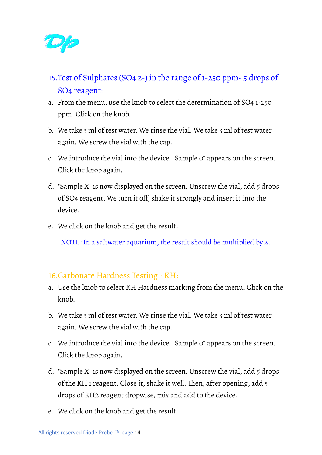

- 15.Test of Sulphates (SO4 2-) in the range of 1-250 ppm- 5 drops of SO4 reagent:
- a. From the menu, use the knob to select the determination of SO4 1-250 ppm. Click on the knob.
- b. We take 3 ml of test water. We rinse the vial. We take 3 ml of test water again. We screw the vial with the cap.
- c. We introduce the vial into the device. "Sample 0" appears on the screen. Click the knob again.
- d. "Sample X" is now displayed on the screen. Unscrew the vial, add 5 drops of SO4 reagent. We turn it off, shake it strongly and insert it into the device.
- e. We click on the knob and get the result.

NOTE: In a saltwater aquarium, the result should be multiplied by 2.

### 16.Carbonate Hardness Testing - KH:

- a. Use the knob to select KH Hardness marking from the menu. Click on the knob.
- b. We take 3 ml of test water. We rinse the vial. We take 3 ml of test water again. We screw the vial with the cap.
- c. We introduce the vial into the device. "Sample 0" appears on the screen. Click the knob again.
- d. "Sample X" is now displayed on the screen. Unscrew the vial, add 5 drops of the KH 1 reagent. Close it, shake it well. Then, after opening, add 5 drops of KH2 reagent dropwise, mix and add to the device.
- e. We click on the knob and get the result.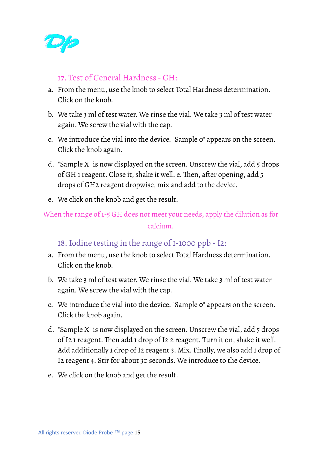

#### 17. Test of General Hardness - GH:

- a. From the menu, use the knob to select Total Hardness determination. Click on the knob.
- b. We take 3 ml of test water. We rinse the vial. We take 3 ml of test water again. We screw the vial with the cap.
- c. We introduce the vial into the device. "Sample 0" appears on the screen. Click the knob again.
- d. "Sample X" is now displayed on the screen. Unscrew the vial, add 5 drops of GH 1 reagent. Close it, shake it well. e. Then, after opening, add 5 drops of GH2 reagent dropwise, mix and add to the device.
- e. We click on the knob and get the result.

When the range of 1-5 GH does not meet your needs, apply the dilution as for calcium.

# 18.Iodine testing in the range of 1-1000 ppb -I2:

- a. From the menu, use the knob to select Total Hardness determination. Click on the knob.
- b. We take 3 ml of test water. We rinse the vial. We take 3 ml of test water again. We screw the vial with the cap.
- c. We introduce the vial into the device. "Sample 0" appears on the screen. Click the knob again.
- d. "Sample X" is now displayed on the screen. Unscrew the vial, add 5 drops of I2 1 reagent. Then add 1 drop of I2 2 reagent. Turn it on, shake it well. Add additionally 1 drop of I2 reagent 3. Mix. Finally, we also add 1 drop of I2 reagent 4. Stir for about 30 seconds. We introduce to the device.
- e. We click on the knob and get the result.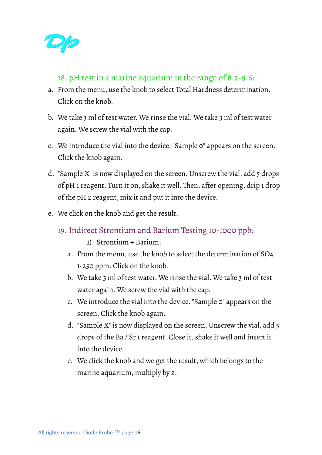

#### 18. pH test in a marine aquarium in the range of 8.2-9.6:

- a. From the menu, use the knob to select Total Hardness determination. Click on the knob.
- b. We take 3 ml of test water. We rinse the vial. We take 3 ml of test water again. We screw the vial with the cap.
- c. We introduce the vial into the device. "Sample 0" appears on the screen. Click the knob again.
- d. "Sample X" is now displayed on the screen. Unscrew the vial, add 5 drops of pH 1 reagent. Turn it on, shake it well. Then, after opening, drip 1 drop of the pH 2 reagent, mix it and put it into the device.
- e. We click on the knob and get the result.
	- 19.Indirect Strontium and Barium Testing 10-1000 ppb:
		- 1) Strontium + Barium:
		- a. From the menu, use the knob to select the determination of SO4 1-250 ppm. Click on the knob.
		- b. We take 3 ml of test water. We rinse the vial. We take 3 ml of test water again. We screw the vial with the cap.
		- c. We introduce the vial into the device. "Sample 0" appears on the screen. Click the knob again.
		- d. "Sample X" is now displayed on the screen. Unscrew the vial, add 5 drops of the Ba / Sr 1 reagent. Close it, shake it well and insert it into the device.
		- e. We click the knob and we get the result, which belongs to the marine aquarium, multiply by 2.